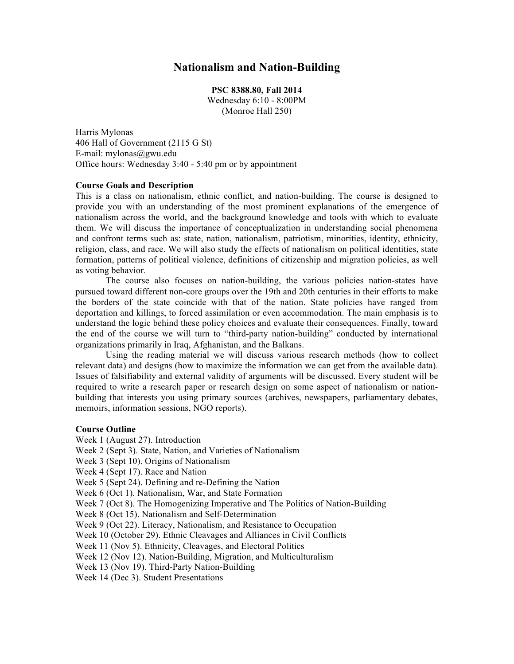# **Nationalism and Nation-Building**

**PSC 8388.80, Fall 2014** Wednesday 6:10 - 8:00PM (Monroe Hall 250)

Harris Mylonas 406 Hall of Government (2115 G St) E-mail: mylonas@gwu.edu Office hours: Wednesday 3:40 - 5:40 pm or by appointment

## **Course Goals and Description**

This is a class on nationalism, ethnic conflict, and nation-building. The course is designed to provide you with an understanding of the most prominent explanations of the emergence of nationalism across the world, and the background knowledge and tools with which to evaluate them. We will discuss the importance of conceptualization in understanding social phenomena and confront terms such as: state, nation, nationalism, patriotism, minorities, identity, ethnicity, religion, class, and race. We will also study the effects of nationalism on political identities, state formation, patterns of political violence, definitions of citizenship and migration policies, as well as voting behavior.

The course also focuses on nation-building, the various policies nation-states have pursued toward different non-core groups over the 19th and 20th centuries in their efforts to make the borders of the state coincide with that of the nation. State policies have ranged from deportation and killings, to forced assimilation or even accommodation. The main emphasis is to understand the logic behind these policy choices and evaluate their consequences. Finally, toward the end of the course we will turn to "third-party nation-building" conducted by international organizations primarily in Iraq, Afghanistan, and the Balkans.

Using the reading material we will discuss various research methods (how to collect relevant data) and designs (how to maximize the information we can get from the available data). Issues of falsifiability and external validity of arguments will be discussed. Every student will be required to write a research paper or research design on some aspect of nationalism or nationbuilding that interests you using primary sources (archives, newspapers, parliamentary debates, memoirs, information sessions, NGO reports).

## **Course Outline**

Week 1 (August 27). Introduction Week 2 (Sept 3). State, Nation, and Varieties of Nationalism Week 3 (Sept 10). Origins of Nationalism Week 4 (Sept 17). Race and Nation Week 5 (Sept 24). Defining and re-Defining the Nation Week 6 (Oct 1). Nationalism, War, and State Formation Week 7 (Oct 8). The Homogenizing Imperative and The Politics of Nation-Building Week 8 (Oct 15). Nationalism and Self-Determination Week 9 (Oct 22). Literacy, Nationalism, and Resistance to Occupation Week 10 (October 29). Ethnic Cleavages and Alliances in Civil Conflicts Week 11 (Nov 5). Ethnicity, Cleavages, and Electoral Politics Week 12 (Nov 12). Nation-Building, Migration, and Multiculturalism Week 13 (Nov 19). Third-Party Nation-Building Week 14 (Dec 3). Student Presentations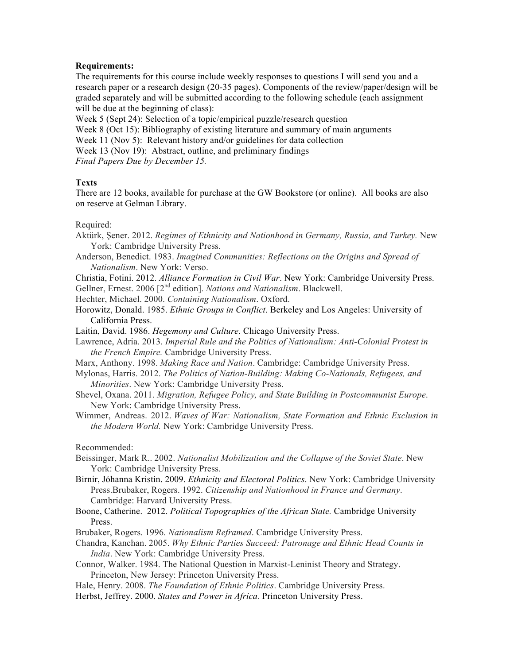## **Requirements:**

The requirements for this course include weekly responses to questions I will send you and a research paper or a research design (20-35 pages). Components of the review/paper/design will be graded separately and will be submitted according to the following schedule (each assignment will be due at the beginning of class):

Week 5 (Sept 24): Selection of a topic/empirical puzzle/research question Week 8 (Oct 15): Bibliography of existing literature and summary of main arguments Week 11 (Nov 5): Relevant history and/or guidelines for data collection Week 13 (Nov 19): Abstract, outline, and preliminary findings

*Final Papers Due by December 15.*

## **Texts**

There are 12 books, available for purchase at the GW Bookstore (or online). All books are also on reserve at Gelman Library.

## Required:

- Aktürk, Şener. 2012. *Regimes of Ethnicity and Nationhood in Germany, Russia, and Turkey.* New York: Cambridge University Press.
- Anderson, Benedict. 1983. *Imagined Communities: Reflections on the Origins and Spread of Nationalism*. New York: Verso.
- Christia, Fotini. 2012. *Alliance Formation in Civil War*. New York: Cambridge University Press.
- Gellner, Ernest. 2006 [2nd edition]. *Nations and Nationalism*. Blackwell.
- Hechter, Michael. 2000. *Containing Nationalism*. Oxford.
- Horowitz, Donald. 1985. *Ethnic Groups in Conflict*. Berkeley and Los Angeles: University of California Press.
- Laitin, David. 1986. *Hegemony and Culture*. Chicago University Press.
- Lawrence, Adria. 2013. *Imperial Rule and the Politics of Nationalism: Anti-Colonial Protest in the French Empire.* Cambridge University Press.
- Marx, Anthony. 1998. *Making Race and Nation*. Cambridge: Cambridge University Press.
- Mylonas, Harris. 2012. *The Politics of Nation-Building: Making Co-Nationals, Refugees, and Minorities*. New York: Cambridge University Press.
- Shevel, Oxana. 2011. *Migration, Refugee Policy, and State Building in Postcommunist Europe*. New York: Cambridge University Press.
- Wimmer, Andreas. 2012. *Waves of War: Nationalism, State Formation and Ethnic Exclusion in the Modern World.* New York: Cambridge University Press.

Recommended:

- Beissinger, Mark R.. 2002. *Nationalist Mobilization and the Collapse of the Soviet State*. New York: Cambridge University Press.
- Birnir, Jóhanna Kristín. 2009. *Ethnicity and Electoral Politics*. New York: Cambridge University Press.Brubaker, Rogers. 1992. *Citizenship and Nationhood in France and Germany*. Cambridge: Harvard University Press.
- Boone, Catherine. 2012. *Political Topographies of the African State.* Cambridge University Press.
- Brubaker, Rogers. 1996. *Nationalism Reframed*. Cambridge University Press.
- Chandra, Kanchan. 2005. *Why Ethnic Parties Succeed: Patronage and Ethnic Head Counts in India*. New York: Cambridge University Press.
- Connor, Walker. 1984. The National Question in Marxist-Leninist Theory and Strategy. Princeton, New Jersey: Princeton University Press.
- Hale, Henry. 2008. *The Foundation of Ethnic Politics*. Cambridge University Press.
- Herbst, Jeffrey. 2000. *States and Power in Africa.* Princeton University Press.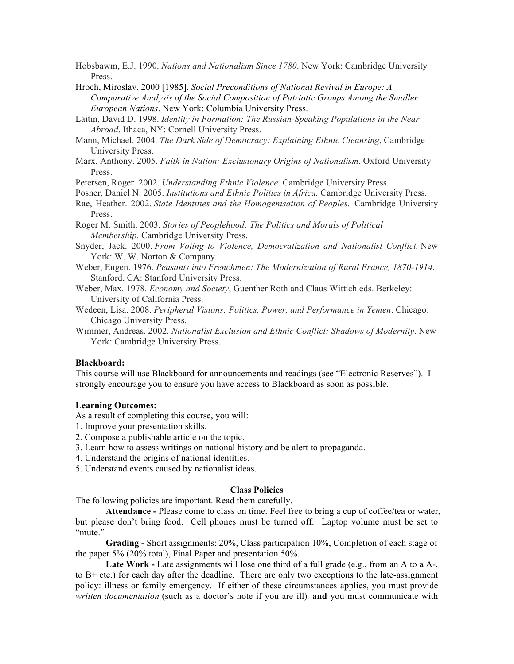Hobsbawm, E.J. 1990. *Nations and Nationalism Since 1780*. New York: Cambridge University Press.

Hroch, Miroslav. 2000 [1985]. *Social Preconditions of National Revival in Europe: A Comparative Analysis of the Social Composition of Patriotic Groups Among the Smaller European Nations*. New York: Columbia University Press.

Laitin, David D. 1998. *Identity in Formation: The Russian-Speaking Populations in the Near Abroad*. Ithaca, NY: Cornell University Press.

- Mann, Michael. 2004. *The Dark Side of Democracy: Explaining Ethnic Cleansing*, Cambridge University Press.
- Marx, Anthony. 2005. *Faith in Nation: Exclusionary Origins of Nationalism*. Oxford University Press.

Petersen, Roger. 2002. *Understanding Ethnic Violence*. Cambridge University Press.

- Posner, Daniel N. 2005. *Institutions and Ethnic Politics in Africa.* Cambridge University Press.
- Rae, Heather. 2002. *State Identities and the Homogenisation of Peoples*. Cambridge University Press.

Roger M. Smith. 2003. *Stories of Peoplehood: The Politics and Morals of Political Membership.* Cambridge University Press.

Snyder, Jack. 2000. *From Voting to Violence, Democratization and Nationalist Conflict.* New York: W. W. Norton & Company.

Weber, Eugen. 1976. *Peasants into Frenchmen: The Modernization of Rural France, 1870-1914*. Stanford, CA: Stanford University Press.

Weber, Max. 1978. *Economy and Society*, Guenther Roth and Claus Wittich eds. Berkeley: University of California Press.

Wedeen, Lisa. 2008. *Peripheral Visions: Politics, Power, and Performance in Yemen*. Chicago: Chicago University Press.

Wimmer, Andreas. 2002. *Nationalist Exclusion and Ethnic Conflict: Shadows of Modernity*. New York: Cambridge University Press.

### **Blackboard:**

This course will use Blackboard for announcements and readings (see "Electronic Reserves"). I strongly encourage you to ensure you have access to Blackboard as soon as possible.

### **Learning Outcomes:**

As a result of completing this course, you will:

- 1. Improve your presentation skills.
- 2. Compose a publishable article on the topic.
- 3. Learn how to assess writings on national history and be alert to propaganda.
- 4. Understand the origins of national identities.
- 5. Understand events caused by nationalist ideas.

## **Class Policies**

The following policies are important. Read them carefully.

**Attendance -** Please come to class on time. Feel free to bring a cup of coffee/tea or water, but please don't bring food. Cell phones must be turned off. Laptop volume must be set to "mute."

**Grading -** Short assignments: 20%, Class participation 10%, Completion of each stage of the paper 5% (20% total), Final Paper and presentation 50%.

**Late Work -** Late assignments will lose one third of a full grade (e.g., from an A to a A-, to B+ etc.) for each day after the deadline. There are only two exceptions to the late-assignment policy: illness or family emergency. If either of these circumstances applies, you must provide *written documentation* (such as a doctor's note if you are ill)*,* **and** you must communicate with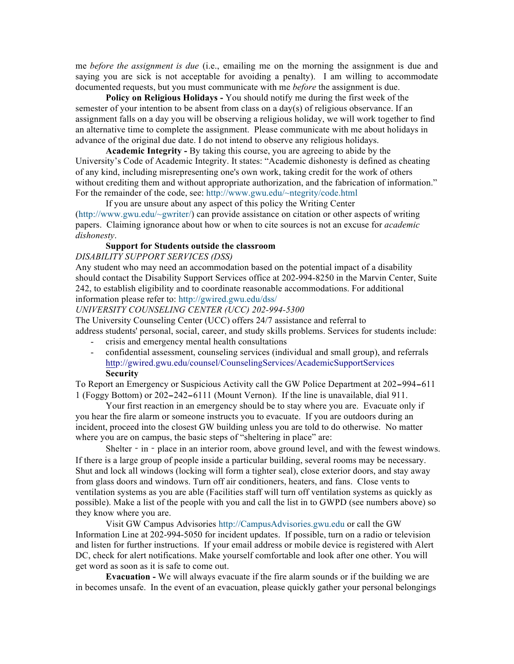me *before the assignment is due* (i.e., emailing me on the morning the assignment is due and saying you are sick is not acceptable for avoiding a penalty). I am willing to accommodate documented requests, but you must communicate with me *before* the assignment is due.

**Policy on Religious Holidays -** You should notify me during the first week of the semester of your intention to be absent from class on a day(s) of religious observance. If an assignment falls on a day you will be observing a religious holiday, we will work together to find an alternative time to complete the assignment. Please communicate with me about holidays in advance of the original due date. I do not intend to observe any religious holidays.

**Academic Integrity -** By taking this course, you are agreeing to abide by the University's Code of Academic Integrity. It states: "Academic dishonesty is defined as cheating of any kind, including misrepresenting one's own work, taking credit for the work of others without crediting them and without appropriate authorization, and the fabrication of information." For the remainder of the code, see: http://www.gwu.edu/~ntegrity/code.html

If you are unsure about any aspect of this policy the Writing Center (http://www.gwu.edu/~gwriter/) can provide assistance on citation or other aspects of writing papers. Claiming ignorance about how or when to cite sources is not an excuse for *academic dishonesty*.

## **Support for Students outside the classroom**

*DISABILITY SUPPORT SERVICES (DSS)*

Any student who may need an accommodation based on the potential impact of a disability should contact the Disability Support Services office at 202-994-8250 in the Marvin Center, Suite 242, to establish eligibility and to coordinate reasonable accommodations. For additional information please refer to: http://gwired.gwu.edu/dss/

## *UNIVERSITY COUNSELING CENTER (UCC) 202-994-5300*

The University Counseling Center (UCC) offers 24/7 assistance and referral to address students' personal, social, career, and study skills problems. Services for students include: - crisis and emergency mental health consultations

- confidential assessment, counseling services (individual and small group), and referrals http://gwired.gwu.edu/counsel/CounselingServices/AcademicSupportServices **Security**

To Report an Emergency or Suspicious Activity call the GW Police Department at 202‐994‐611 1 (Foggy Bottom) or 202‐242‐6111 (Mount Vernon). If the line is unavailable, dial 911.

Your first reaction in an emergency should be to stay where you are. Evacuate only if you hear the fire alarm or someone instructs you to evacuate. If you are outdoors during an incident, proceed into the closest GW building unless you are told to do otherwise. No matter where you are on campus, the basic steps of "sheltering in place" are:

Shelter - in - place in an interior room, above ground level, and with the fewest windows. If there is a large group of people inside a particular building, several rooms may be necessary. Shut and lock all windows (locking will form a tighter seal), close exterior doors, and stay away from glass doors and windows. Turn off air conditioners, heaters, and fans. Close vents to ventilation systems as you are able (Facilities staff will turn off ventilation systems as quickly as possible). Make a list of the people with you and call the list in to GWPD (see numbers above) so they know where you are.

Visit GW Campus Advisories http://CampusAdvisories.gwu.edu or call the GW Information Line at 202-994-5050 for incident updates. If possible, turn on a radio or television and listen for further instructions. If your email address or mobile device is registered with Alert DC, check for alert notifications. Make yourself comfortable and look after one other. You will get word as soon as it is safe to come out.

**Evacuation -** We will always evacuate if the fire alarm sounds or if the building we are in becomes unsafe. In the event of an evacuation, please quickly gather your personal belongings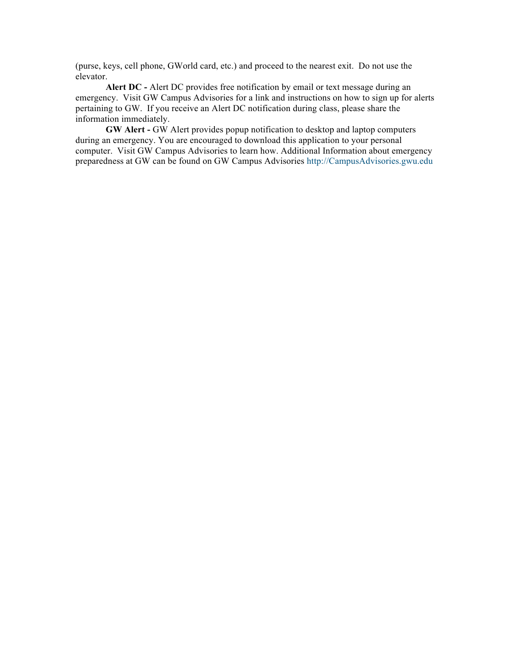(purse, keys, cell phone, GWorld card, etc.) and proceed to the nearest exit. Do not use the elevator.

**Alert DC -** Alert DC provides free notification by email or text message during an emergency. Visit GW Campus Advisories for a link and instructions on how to sign up for alerts pertaining to GW. If you receive an Alert DC notification during class, please share the information immediately.

**GW Alert -** GW Alert provides popup notification to desktop and laptop computers during an emergency. You are encouraged to download this application to your personal computer. Visit GW Campus Advisories to learn how. Additional Information about emergency preparedness at GW can be found on GW Campus Advisories http://CampusAdvisories.gwu.edu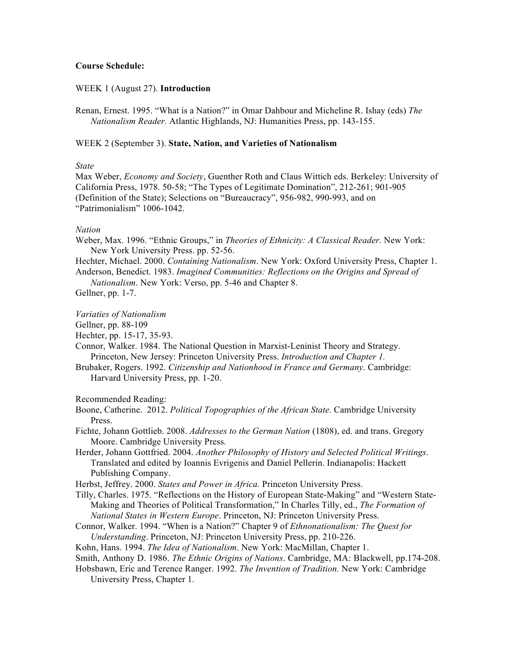## **Course Schedule:**

## WEEK 1 (August 27). **Introduction**

Renan, Ernest. 1995. "What is a Nation?" in Omar Dahbour and Micheline R. Ishay (eds) *The Nationalism Reader.* Atlantic Highlands, NJ: Humanities Press, pp. 143-155.

## WEEK 2 (September 3). **State, Nation, and Varieties of Nationalism**

## *State*

Max Weber, *Economy and Society*, Guenther Roth and Claus Wittich eds. Berkeley: University of California Press, 1978. 50-58; "The Types of Legitimate Domination", 212-261; 901-905 (Definition of the State); Selections on "Bureaucracy", 956-982, 990-993, and on "Patrimonialism" 1006-1042.

### *Nation*

- Weber, Max. 1996. "Ethnic Groups," in *Theories of Ethnicity: A Classical Reader.* New York: New York University Press. pp. 52-56.
- Hechter, Michael. 2000. *Containing Nationalism*. New York: Oxford University Press, Chapter 1. Anderson, Benedict. 1983. *Imagined Communities: Reflections on the Origins and Spread of*

*Nationalism*. New York: Verso, pp. 5-46 and Chapter 8. Gellner, pp. 1-7.

#### *Variaties of Nationalism*

- Gellner, pp. 88-109
- Hechter, pp. 15-17, 35-93.

Connor, Walker. 1984. The National Question in Marxist-Leninist Theory and Strategy. Princeton, New Jersey: Princeton University Press. *Introduction and Chapter 1.*

Brubaker, Rogers. 1992. *Citizenship and Nationhood in France and Germany*. Cambridge: Harvard University Press, pp. 1-20.

## Recommended Reading:

- Boone, Catherine. 2012. *Political Topographies of the African State.* Cambridge University Press.
- Fichte, Johann Gottlieb. 2008. *Addresses to the German Nation* (1808), ed. and trans. Gregory Moore. Cambridge University Press.
- Herder, Johann Gottfried. 2004. *Another Philosophy of History and Selected Political Writings*. Translated and edited by Ioannis Evrigenis and Daniel Pellerin. Indianapolis: Hackett Publishing Company.

Herbst, Jeffrey. 2000. *States and Power in Africa.* Princeton University Press.

- Tilly, Charles. 1975. "Reflections on the History of European State-Making" and "Western State-Making and Theories of Political Transformation," In Charles Tilly, ed., *The Formation of National States in Western Europe*. Princeton, NJ: Princeton University Press.
- Connor, Walker. 1994. "When is a Nation?" Chapter 9 of *Ethnonationalism: The Quest for Understanding*. Princeton, NJ: Princeton University Press, pp. 210-226.

Kohn, Hans. 1994. *The Idea of Nationalism*. New York: MacMillan, Chapter 1.

Smith, Anthony D. 1986. *The Ethnic Origins of Nations*. Cambridge, MA: Blackwell, pp.174-208.

Hobsbawn, Eric and Terence Ranger. 1992. *The Invention of Tradition.* New York: Cambridge University Press, Chapter 1.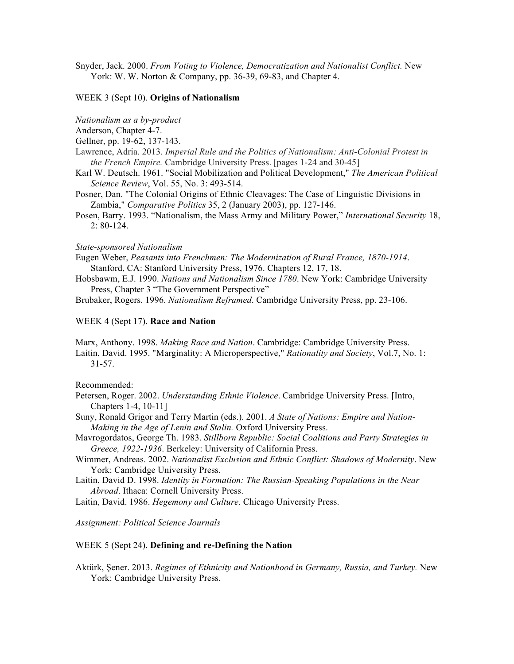Snyder, Jack. 2000. *From Voting to Violence, Democratization and Nationalist Conflict.* New York: W. W. Norton & Company, pp. 36-39, 69-83, and Chapter 4.

## WEEK 3 (Sept 10). **Origins of Nationalism**

*Nationalism as a by-product*

Anderson, Chapter 4-7.

- Gellner, pp. 19-62, 137-143.
- Lawrence, Adria. 2013. *Imperial Rule and the Politics of Nationalism: Anti-Colonial Protest in the French Empire.* Cambridge University Press. [pages 1-24 and 30-45]
- Karl W. Deutsch. 1961. "Social Mobilization and Political Development," *The American Political Science Review*, Vol. 55, No. 3: 493-514.
- Posner, Dan. "The Colonial Origins of Ethnic Cleavages: The Case of Linguistic Divisions in Zambia," *Comparative Politics* 35, 2 (January 2003), pp. 127-146.
- Posen, Barry. 1993. "Nationalism, the Mass Army and Military Power," *International Security* 18, 2: 80-124.

### *State-sponsored Nationalism*

Eugen Weber, *Peasants into Frenchmen: The Modernization of Rural France, 1870-1914*. Stanford, CA: Stanford University Press, 1976. Chapters 12, 17, 18.

Hobsbawm, E.J. 1990. *Nations and Nationalism Since 1780*. New York: Cambridge University Press, Chapter 3 "The Government Perspective"

Brubaker, Rogers. 1996. *Nationalism Reframed*. Cambridge University Press, pp. 23-106.

## WEEK 4 (Sept 17). **Race and Nation**

Marx, Anthony. 1998. *Making Race and Nation*. Cambridge: Cambridge University Press. Laitin, David. 1995. "Marginality: A Microperspective," *Rationality and Society*, Vol.7, No. 1: 31-57.

#### Recommended:

- Petersen, Roger. 2002. *Understanding Ethnic Violence*. Cambridge University Press. [Intro, Chapters 1-4, 10-11]
- Suny, Ronald Grigor and Terry Martin (eds.). 2001. *A State of Nations: Empire and Nation-Making in the Age of Lenin and Stalin.* Oxford University Press.

Mavrogordatos, George Th. 1983. *Stillborn Republic: Social Coalitions and Party Strategies in Greece, 1922-1936*. Berkeley: University of California Press.

- Wimmer, Andreas. 2002. *Nationalist Exclusion and Ethnic Conflict: Shadows of Modernity*. New York: Cambridge University Press.
- Laitin, David D. 1998. *Identity in Formation: The Russian-Speaking Populations in the Near Abroad*. Ithaca: Cornell University Press.
- Laitin, David. 1986. *Hegemony and Culture*. Chicago University Press.

*Assignment: Political Science Journals*

## WEEK 5 (Sept 24). **Defining and re-Defining the Nation**

Aktürk, Şener. 2013. *Regimes of Ethnicity and Nationhood in Germany, Russia, and Turkey.* New York: Cambridge University Press.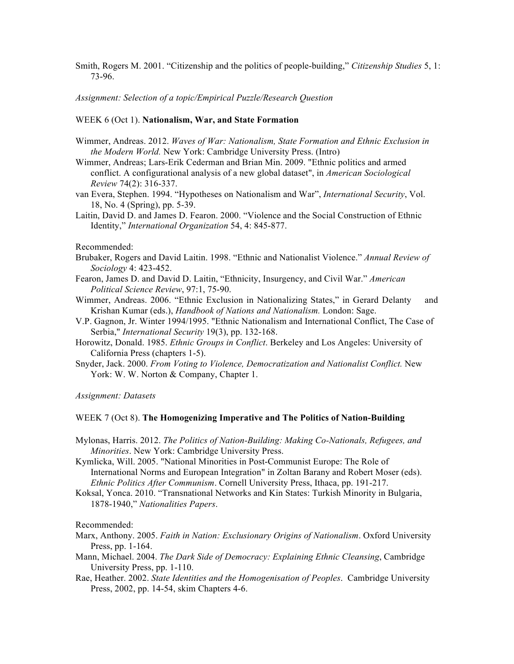Smith, Rogers M. 2001. "Citizenship and the politics of people-building," *Citizenship Studies* 5, 1: 73-96.

*Assignment: Selection of a topic/Empirical Puzzle/Research Question* 

## WEEK 6 (Oct 1). **Nationalism, War, and State Formation**

- Wimmer, Andreas. 2012. *Waves of War: Nationalism, State Formation and Ethnic Exclusion in the Modern World.* New York: Cambridge University Press. (Intro)
- Wimmer, Andreas; Lars-Erik Cederman and Brian Min. 2009. "Ethnic politics and armed conflict. A configurational analysis of a new global dataset", in *American Sociological Review* 74(2): 316-337.
- van Evera, Stephen. 1994. "Hypotheses on Nationalism and War", *International Security*, Vol. 18, No. 4 (Spring), pp. 5-39.
- Laitin, David D. and James D. Fearon. 2000. "Violence and the Social Construction of Ethnic Identity," *International Organization* 54, 4: 845-877.

#### Recommended:

- Brubaker, Rogers and David Laitin. 1998. "Ethnic and Nationalist Violence." *Annual Review of Sociology* 4: 423-452.
- Fearon, James D. and David D. Laitin, "Ethnicity, Insurgency, and Civil War." *American Political Science Review*, 97:1, 75-90.
- Wimmer, Andreas. 2006. "Ethnic Exclusion in Nationalizing States," in Gerard Delanty and Krishan Kumar (eds.), *Handbook of Nations and Nationalism.* London: Sage.
- V.P. Gagnon, Jr. Winter 1994/1995. "Ethnic Nationalism and International Conflict, The Case of Serbia," *International Security* 19(3), pp. 132-168.
- Horowitz, Donald. 1985. *Ethnic Groups in Conflict*. Berkeley and Los Angeles: University of California Press (chapters 1-5).
- Snyder, Jack. 2000. *From Voting to Violence, Democratization and Nationalist Conflict.* New York: W. W. Norton & Company, Chapter 1.

*Assignment: Datasets*

## WEEK 7 (Oct 8). **The Homogenizing Imperative and The Politics of Nation-Building**

Mylonas, Harris. 2012. *The Politics of Nation-Building: Making Co-Nationals, Refugees, and Minorities*. New York: Cambridge University Press.

Kymlicka, Will. 2005. "National Minorities in Post-Communist Europe: The Role of International Norms and European Integration" in Zoltan Barany and Robert Moser (eds). *Ethnic Politics After Communism*. Cornell University Press, Ithaca, pp. 191-217.

Koksal, Yonca. 2010. "Transnational Networks and Kin States: Turkish Minority in Bulgaria, 1878-1940," *Nationalities Papers*.

Recommended:

- Marx, Anthony. 2005. *Faith in Nation: Exclusionary Origins of Nationalism*. Oxford University Press, pp. 1-164.
- Mann, Michael. 2004. *The Dark Side of Democracy: Explaining Ethnic Cleansing*, Cambridge University Press, pp. 1-110.
- Rae, Heather. 2002. *State Identities and the Homogenisation of Peoples*. Cambridge University Press, 2002, pp. 14-54, skim Chapters 4-6.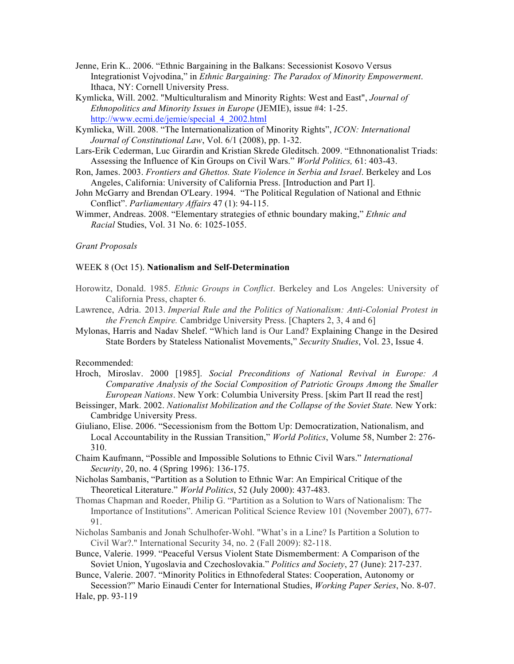- Jenne, Erin K.. 2006. "Ethnic Bargaining in the Balkans: Secessionist Kosovo Versus Integrationist Vojvodina," in *Ethnic Bargaining: The Paradox of Minority Empowerment*. Ithaca, NY: Cornell University Press.
- Kymlicka, Will. 2002. "Multiculturalism and Minority Rights: West and East", *Journal of Ethnopolitics and Minority Issues in Europe* (JEMIE), issue #4: 1-25. http://www.ecmi.de/jemie/special\_4\_2002.html
- Kymlicka, Will. 2008. "The Internationalization of Minority Rights", *ICON: International Journal of Constitutional Law*, Vol. 6/1 (2008), pp. 1-32.
- Lars-Erik Cederman, Luc Girardin and Kristian Skrede Gleditsch. 2009. "Ethnonationalist Triads: Assessing the Influence of Kin Groups on Civil Wars." *World Politics,* 61: 403-43.
- Ron, James. 2003. *Frontiers and Ghettos. State Violence in Serbia and Israel*. Berkeley and Los Angeles, California: University of California Press. [Introduction and Part I].
- John McGarry and Brendan O'Leary. 1994. "The Political Regulation of National and Ethnic Conflict". *Parliamentary Affairs* 47 (1): 94-115.
- Wimmer, Andreas. 2008. "Elementary strategies of ethnic boundary making," *Ethnic and Racial* Studies, Vol. 31 No. 6: 1025-1055.

## *Grant Proposals*

## WEEK 8 (Oct 15). **Nationalism and Self-Determination**

- Horowitz, Donald. 1985. *Ethnic Groups in Conflict*. Berkeley and Los Angeles: University of California Press, chapter 6.
- Lawrence, Adria. 2013. *Imperial Rule and the Politics of Nationalism: Anti-Colonial Protest in the French Empire.* Cambridge University Press. [Chapters 2, 3, 4 and 6]
- Mylonas, Harris and Nadav Shelef. "Which land is Our Land? Explaining Change in the Desired State Borders by Stateless Nationalist Movements," *Security Studies*, Vol. 23, Issue 4.

### Recommended:

- Hroch, Miroslav. 2000 [1985]. *Social Preconditions of National Revival in Europe: A Comparative Analysis of the Social Composition of Patriotic Groups Among the Smaller European Nations*. New York: Columbia University Press. [skim Part II read the rest]
- Beissinger, Mark. 2002. *Nationalist Mobilization and the Collapse of the Soviet State.* New York: Cambridge University Press.
- Giuliano, Elise. 2006. "Secessionism from the Bottom Up: Democratization, Nationalism, and Local Accountability in the Russian Transition," *World Politics*, Volume 58, Number 2: 276- 310.
- Chaim Kaufmann, "Possible and Impossible Solutions to Ethnic Civil Wars." *International Security*, 20, no. 4 (Spring 1996): 136-175.
- Nicholas Sambanis, "Partition as a Solution to Ethnic War: An Empirical Critique of the Theoretical Literature." *World Politics*, 52 (July 2000): 437-483.
- Thomas Chapman and Roeder, Philip G. "Partition as a Solution to Wars of Nationalism: The Importance of Institutions". American Political Science Review 101 (November 2007), 677- 91.
- Nicholas Sambanis and Jonah Schulhofer-Wohl. "What's in a Line? Is Partition a Solution to Civil War?." International Security 34, no. 2 (Fall 2009): 82-118.
- Bunce, Valerie. 1999. "Peaceful Versus Violent State Dismemberment: A Comparison of the Soviet Union, Yugoslavia and Czechoslovakia." *Politics and Society*, 27 (June): 217-237.
- Bunce, Valerie. 2007. "Minority Politics in Ethnofederal States: Cooperation, Autonomy or Secession?" Mario Einaudi Center for International Studies, *Working Paper Series*, No. 8-07.

Hale, pp. 93-119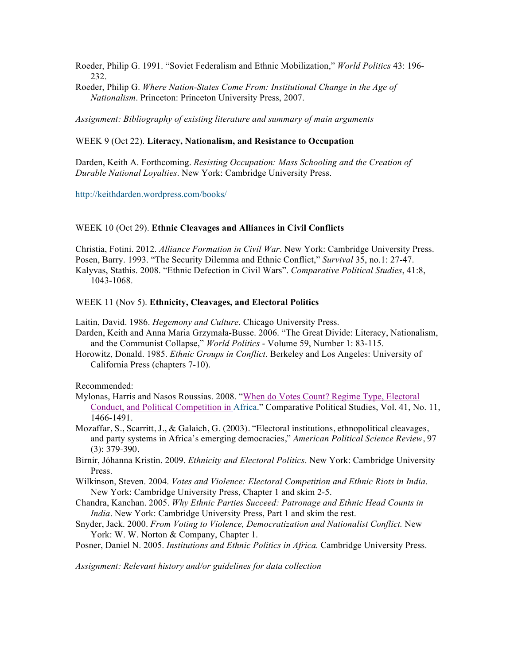Roeder, Philip G. 1991. "Soviet Federalism and Ethnic Mobilization," *World Politics* 43: 196- 232.

Roeder, Philip G. *Where Nation-States Come From: Institutional Change in the Age of Nationalism*. Princeton: Princeton University Press, 2007.

*Assignment: Bibliography of existing literature and summary of main arguments*

## WEEK 9 (Oct 22). **Literacy, Nationalism, and Resistance to Occupation**

Darden, Keith A. Forthcoming. *Resisting Occupation: Mass Schooling and the Creation of Durable National Loyalties*. New York: Cambridge University Press.

http://keithdarden.wordpress.com/books/

## WEEK 10 (Oct 29). **Ethnic Cleavages and Alliances in Civil Conflicts**

Christia, Fotini. 2012. *Alliance Formation in Civil War*. New York: Cambridge University Press. Posen, Barry. 1993. "The Security Dilemma and Ethnic Conflict," *Survival* 35, no.1: 27-47. Kalyvas, Stathis. 2008. "Ethnic Defection in Civil Wars". *Comparative Political Studies*, 41:8, 1043-1068.

## WEEK 11 (Nov 5). **Ethnicity, Cleavages, and Electoral Politics**

Laitin, David. 1986. *Hegemony and Culture*. Chicago University Press.

Darden, Keith and Anna Maria Grzymała-Busse. 2006. "The Great Divide: Literacy, Nationalism, and the Communist Collapse," *World Politics* - Volume 59, Number 1: 83-115.

Horowitz, Donald. 1985. *Ethnic Groups in Conflict*. Berkeley and Los Angeles: University of California Press (chapters 7-10).

Recommended:

- Mylonas, Harris and Nasos Roussias. 2008. "When do Votes Count? Regime Type, Electoral Conduct, and Political Competition in Africa." Comparative Political Studies, Vol. 41, No. 11, 1466-1491.
- Mozaffar, S., Scarritt, J., & Galaich, G. (2003). "Electoral institutions, ethnopolitical cleavages, and party systems in Africa's emerging democracies," *American Political Science Review*, 97 (3): 379-390.
- Birnir, Jóhanna Kristín. 2009. *Ethnicity and Electoral Politics*. New York: Cambridge University Press.
- Wilkinson, Steven. 2004. *Votes and Violence: Electoral Competition and Ethnic Riots in India*. New York: Cambridge University Press, Chapter 1 and skim 2-5.
- Chandra, Kanchan. 2005. *Why Ethnic Parties Succeed: Patronage and Ethnic Head Counts in India*. New York: Cambridge University Press, Part 1 and skim the rest.
- Snyder, Jack. 2000. *From Voting to Violence, Democratization and Nationalist Conflict.* New York: W. W. Norton & Company, Chapter 1.

Posner, Daniel N. 2005. *Institutions and Ethnic Politics in Africa.* Cambridge University Press.

*Assignment: Relevant history and/or guidelines for data collection*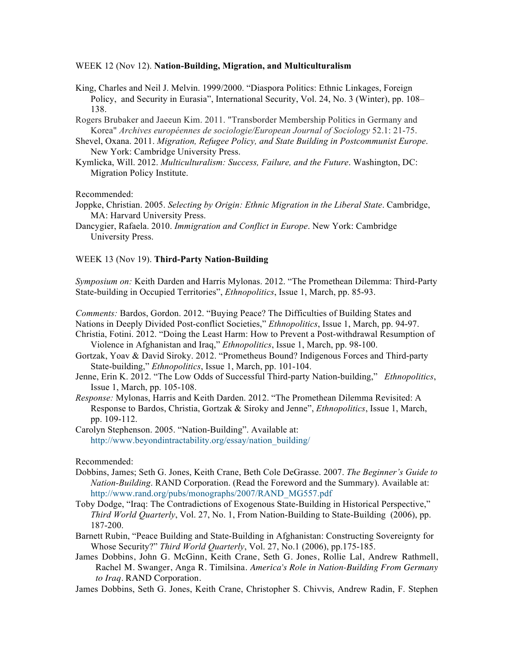## WEEK 12 (Nov 12). **Nation-Building, Migration, and Multiculturalism**

- King, Charles and Neil J. Melvin. 1999/2000. "Diaspora Politics: Ethnic Linkages, Foreign Policy, and Security in Eurasia", International Security, Vol. 24, No. 3 (Winter), pp. 108– 138.
- Rogers Brubaker and Jaeeun Kim. 2011. "Transborder Membership Politics in Germany and Korea" *Archives européennes de sociologie/European Journal of Sociology* 52.1: 21-75.
- Shevel, Oxana. 2011. *Migration, Refugee Policy, and State Building in Postcommunist Europe*. New York: Cambridge University Press.
- Kymlicka, Will. 2012. *Multiculturalism: Success, Failure, and the Future*. Washington, DC: Migration Policy Institute.

Recommended:

- Joppke, Christian. 2005. *Selecting by Origin: Ethnic Migration in the Liberal State*. Cambridge, MA: Harvard University Press.
- Dancygier, Rafaela. 2010. *Immigration and Conflict in Europe*. New York: Cambridge University Press.

## WEEK 13 (Nov 19). **Third-Party Nation-Building**

*Symposium on:* Keith Darden and Harris Mylonas. 2012. "The Promethean Dilemma: Third-Party State-building in Occupied Territories", *Ethnopolitics*, Issue 1, March, pp. 85-93.

*Comments:* Bardos, Gordon. 2012. "Buying Peace? The Difficulties of Building States and Nations in Deeply Divided Post-conflict Societies," *Ethnopolitics*, Issue 1, March, pp. 94-97.

- Christia, Fotini. 2012. "Doing the Least Harm: How to Prevent a Post-withdrawal Resumption of Violence in Afghanistan and Iraq," *Ethnopolitics*, Issue 1, March, pp. 98-100.
- Gortzak, Yoav & David Siroky. 2012. "Prometheus Bound? Indigenous Forces and Third-party State-building," *Ethnopolitics*, Issue 1, March, pp. 101-104.
- Jenne, Erin K. 2012. "The Low Odds of Successful Third-party Nation-building," *Ethnopolitics*, Issue 1, March, pp. 105-108.
- *Response:* Mylonas, Harris and Keith Darden. 2012. "The Promethean Dilemma Revisited: A Response to Bardos, Christia, Gortzak & Siroky and Jenne", *Ethnopolitics*, Issue 1, March, pp. 109-112.

Carolyn Stephenson. 2005. "Nation-Building". Available at: http://www.beyondintractability.org/essay/nation\_building/

## Recommended:

- Dobbins, James; Seth G. Jones, Keith Crane, Beth Cole DeGrasse. 2007. *The Beginner's Guide to Nation-Building*. RAND Corporation. (Read the Foreword and the Summary). Available at: http://www.rand.org/pubs/monographs/2007/RAND\_MG557.pdf
- Toby Dodge, "Iraq: The Contradictions of Exogenous State-Building in Historical Perspective," *Third World Quarterly*, Vol. 27, No. 1, From Nation-Building to State-Building (2006), pp. 187-200.
- Barnett Rubin, "Peace Building and State-Building in Afghanistan: Constructing Sovereignty for Whose Security?" *Third World Quarterly*, Vol. 27, No.1 (2006), pp.175-185.
- James Dobbins, John G. McGinn, Keith Crane, Seth G. Jones, Rollie Lal, Andrew Rathmell, Rachel M. Swanger, Anga R. Timilsina. *America's Role in Nation-Building From Germany to Iraq*. RAND Corporation.
- James Dobbins, Seth G. Jones, Keith Crane, Christopher S. Chivvis, Andrew Radin, F. Stephen